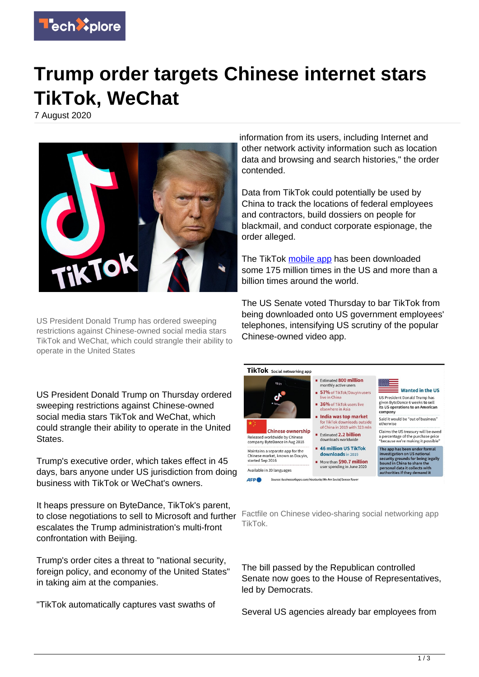

## **Trump order targets Chinese internet stars TikTok, WeChat**

7 August 2020



US President Donald Trump has ordered sweeping restrictions against Chinese-owned social media stars TikTok and WeChat, which could strangle their ability to operate in the United States

US President Donald Trump on Thursday ordered sweeping restrictions against Chinese-owned social media stars TikTok and WeChat, which could strangle their ability to operate in the United States.

Trump's executive order, which takes effect in 45 days, bars anyone under US jurisdiction from doing business with TikTok or WeChat's owners.

It heaps pressure on ByteDance, TikTok's parent, to close negotiations to sell to Microsoft and further escalates the Trump administration's multi-front confrontation with Beijing.

Trump's order cites a threat to "national security, foreign policy, and economy of the United States" in taking aim at the companies.

"TikTok automatically captures vast swaths of

information from its users, including Internet and other network activity information such as location data and browsing and search histories," the order contended.

Data from TikTok could potentially be used by China to track the locations of federal employees and contractors, build dossiers on people for blackmail, and conduct corporate espionage, the order alleged.

The TikTok [mobile app](https://techxplore.com/tags/mobile+app/) has been downloaded some 175 million times in the US and more than a billion times around the world.

The US Senate voted Thursday to bar TikTok from being downloaded onto US government employees' telephones, intensifying US scrutiny of the popular Chinese-owned video app.



Factfile on Chinese video-sharing social networking app TikTok.

The bill passed by the Republican controlled Senate now goes to the House of Representatives, led by Democrats.

Several US agencies already bar employees from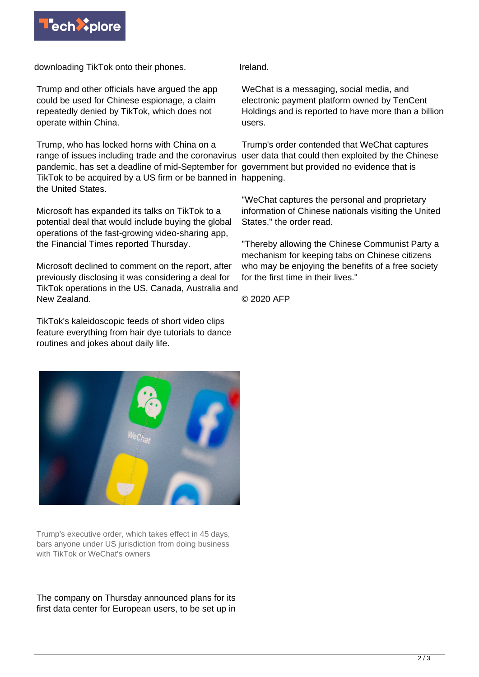

downloading TikTok onto their phones.

Trump and other officials have argued the app could be used for Chinese espionage, a claim repeatedly denied by TikTok, which does not operate within China.

Trump, who has locked horns with China on a range of issues including trade and the coronavirus user data that could then exploited by the Chinese pandemic, has set a deadline of mid-September for government but provided no evidence that is TikTok to be acquired by a US firm or be banned in happening. the United States.

Microsoft has expanded its talks on TikTok to a potential deal that would include buying the global operations of the fast-growing video-sharing app, the Financial Times reported Thursday.

Microsoft declined to comment on the report, after previously disclosing it was considering a deal for TikTok operations in the US, Canada, Australia and New Zealand.

TikTok's kaleidoscopic feeds of short video clips feature everything from hair dye tutorials to dance routines and jokes about daily life.



Trump's executive order, which takes effect in 45 days, bars anyone under US jurisdiction from doing business with TikTok or WeChat's owners

The company on Thursday announced plans for its first data center for European users, to be set up in

Ireland.

WeChat is a messaging, social media, and electronic payment platform owned by TenCent Holdings and is reported to have more than a billion users.

Trump's order contended that WeChat captures

"WeChat captures the personal and proprietary information of Chinese nationals visiting the United States," the order read.

"Thereby allowing the Chinese Communist Party a mechanism for keeping tabs on Chinese citizens who may be enjoying the benefits of a free society for the first time in their lives."

© 2020 AFP